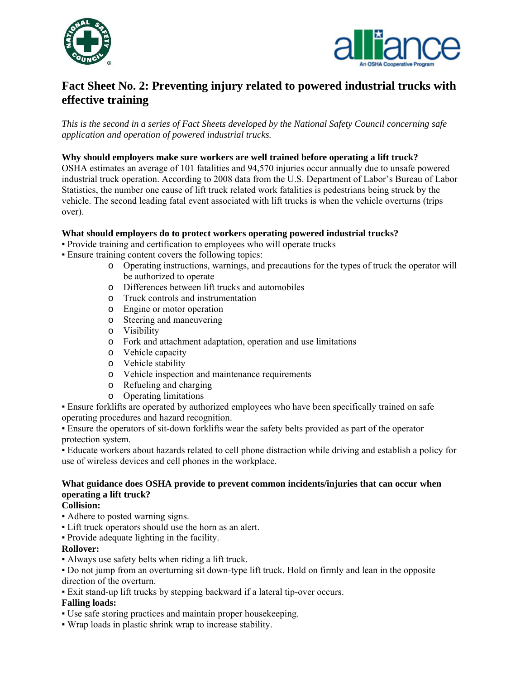



# **Fact Sheet No. 2: Preventing injury related to powered industrial trucks with effective training**

*This is the second in a series of Fact Sheets developed by the National Safety Council concerning safe application and operation of powered industrial trucks.* 

#### **Why should employers make sure workers are well trained before operating a lift truck?**

OSHA estimates an average of 101 fatalities and 94,570 injuries occur annually due to unsafe powered industrial truck operation. According to 2008 data from the U.S. Department of Labor's Bureau of Labor Statistics, the number one cause of lift truck related work fatalities is pedestrians being struck by the vehicle. The second leading fatal event associated with lift trucks is when the vehicle overturns (trips over).

## **What should employers do to protect workers operating powered industrial trucks?**

- Provide training and certification to employees who will operate trucks
- Ensure training content covers the following topics:
	- o Operating instructions, warnings, and precautions for the types of truck the operator will be authorized to operate
	- o Differences between lift trucks and automobiles
	- o Truck controls and instrumentation
	- o Engine or motor operation
	- o Steering and maneuvering
	- o Visibility
	- o Fork and attachment adaptation, operation and use limitations
	- o Vehicle capacity
	- o Vehicle stability
	- o Vehicle inspection and maintenance requirements
	- o Refueling and charging
	- o Operating limitations

▪ Ensure forklifts are operated by authorized employees who have been specifically trained on safe operating procedures and hazard recognition.

▪ Ensure the operators of sit-down forklifts wear the safety belts provided as part of the operator protection system.

▪ Educate workers about hazards related to cell phone distraction while driving and establish a policy for use of wireless devices and cell phones in the workplace.

# **What guidance does OSHA provide to prevent common incidents/injuries that can occur when operating a lift truck?**

## **Collision:**

- Adhere to posted warning signs.
- Lift truck operators should use the horn as an alert.
- Provide adequate lighting in the facility.

#### **Rollover:**

▪ Always use safety belts when riding a lift truck.

▪ Do not jump from an overturning sit down-type lift truck. Hold on firmly and lean in the opposite direction of the overturn.

▪ Exit stand-up lift trucks by stepping backward if a lateral tip-over occurs.

# **Falling loads:**

- Use safe storing practices and maintain proper housekeeping.
- Wrap loads in plastic shrink wrap to increase stability.